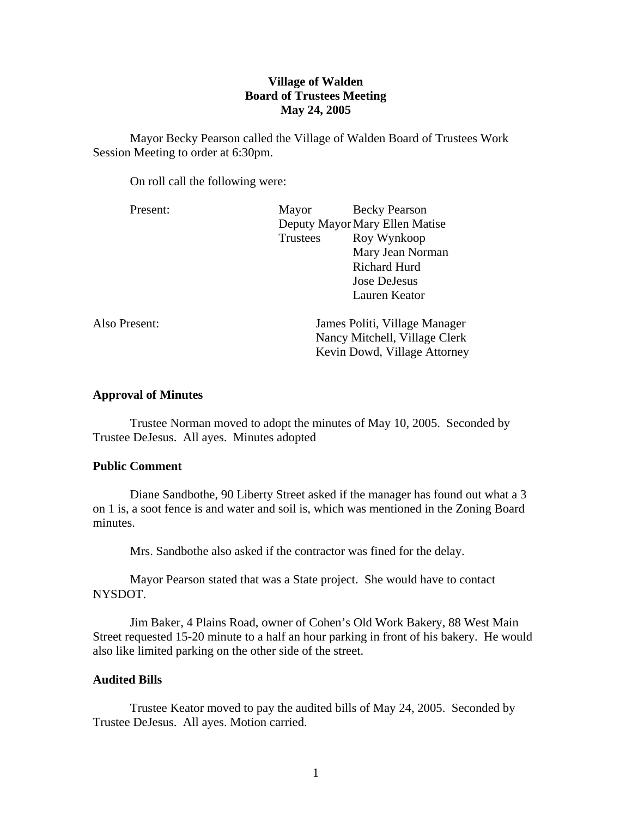# **Village of Walden Board of Trustees Meeting May 24, 2005**

Mayor Becky Pearson called the Village of Walden Board of Trustees Work Session Meeting to order at 6:30pm.

On roll call the following were:

| Present:      | Mayor                          | <b>Becky Pearson</b>          |
|---------------|--------------------------------|-------------------------------|
|               | Deputy Mayor Mary Ellen Matise |                               |
|               | Trustees                       | Roy Wynkoop                   |
|               |                                | Mary Jean Norman              |
|               |                                | Richard Hurd                  |
|               |                                | <b>Jose DeJesus</b>           |
|               |                                | Lauren Keator                 |
| Also Present: |                                | James Politi, Village Manager |
|               | Nancy Mitchell, Village Clerk  |                               |
|               |                                | Kevin Dowd, Village Attorney  |
|               |                                |                               |

### **Approval of Minutes**

Trustee Norman moved to adopt the minutes of May 10, 2005. Seconded by Trustee DeJesus. All ayes. Minutes adopted

#### **Public Comment**

Diane Sandbothe, 90 Liberty Street asked if the manager has found out what a 3 on 1 is, a soot fence is and water and soil is, which was mentioned in the Zoning Board minutes.

Mrs. Sandbothe also asked if the contractor was fined for the delay.

 Mayor Pearson stated that was a State project. She would have to contact NYSDOT.

 Jim Baker, 4 Plains Road, owner of Cohen's Old Work Bakery, 88 West Main Street requested 15-20 minute to a half an hour parking in front of his bakery. He would also like limited parking on the other side of the street.

### **Audited Bills**

Trustee Keator moved to pay the audited bills of May 24, 2005. Seconded by Trustee DeJesus. All ayes. Motion carried.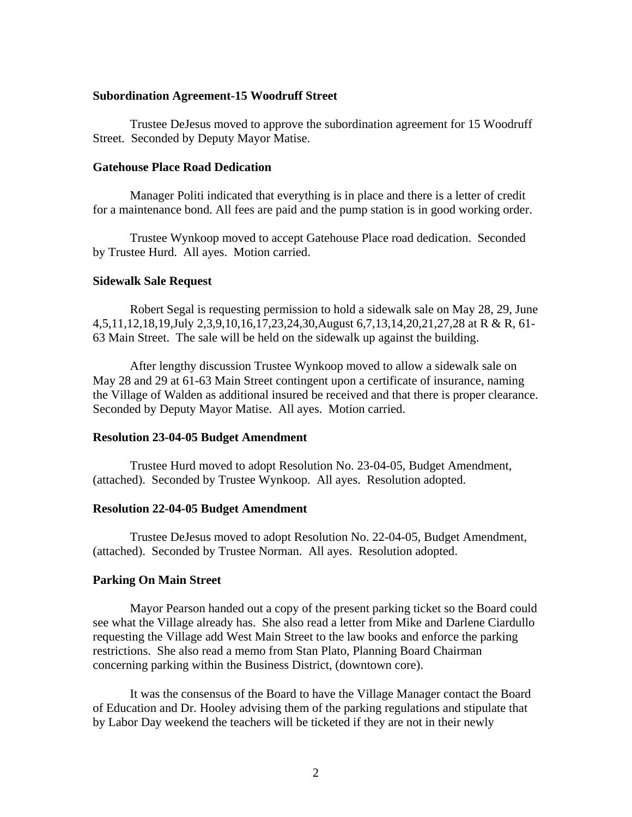#### **Subordination Agreement-15 Woodruff Street**

Trustee DeJesus moved to approve the subordination agreement for 15 Woodruff Street. Seconded by Deputy Mayor Matise.

#### **Gatehouse Place Road Dedication**

Manager Politi indicated that everything is in place and there is a letter of credit for a maintenance bond. All fees are paid and the pump station is in good working order.

Trustee Wynkoop moved to accept Gatehouse Place road dedication. Seconded by Trustee Hurd. All ayes. Motion carried.

### **Sidewalk Sale Request**

Robert Segal is requesting permission to hold a sidewalk sale on May 28, 29, June 4,5,11,12,18,19,July 2,3,9,10,16,17,23,24,30,August 6,7,13,14,20,21,27,28 at R & R, 61- 63 Main Street. The sale will be held on the sidewalk up against the building.

 After lengthy discussion Trustee Wynkoop moved to allow a sidewalk sale on May 28 and 29 at 61-63 Main Street contingent upon a certificate of insurance, naming the Village of Walden as additional insured be received and that there is proper clearance. Seconded by Deputy Mayor Matise. All ayes. Motion carried.

#### **Resolution 23-04-05 Budget Amendment**

Trustee Hurd moved to adopt Resolution No. 23-04-05, Budget Amendment, (attached). Seconded by Trustee Wynkoop. All ayes. Resolution adopted.

#### **Resolution 22-04-05 Budget Amendment**

Trustee DeJesus moved to adopt Resolution No. 22-04-05, Budget Amendment, (attached). Seconded by Trustee Norman. All ayes. Resolution adopted.

#### **Parking On Main Street**

Mayor Pearson handed out a copy of the present parking ticket so the Board could see what the Village already has. She also read a letter from Mike and Darlene Ciardullo requesting the Village add West Main Street to the law books and enforce the parking restrictions. She also read a memo from Stan Plato, Planning Board Chairman concerning parking within the Business District, (downtown core).

 It was the consensus of the Board to have the Village Manager contact the Board of Education and Dr. Hooley advising them of the parking regulations and stipulate that by Labor Day weekend the teachers will be ticketed if they are not in their newly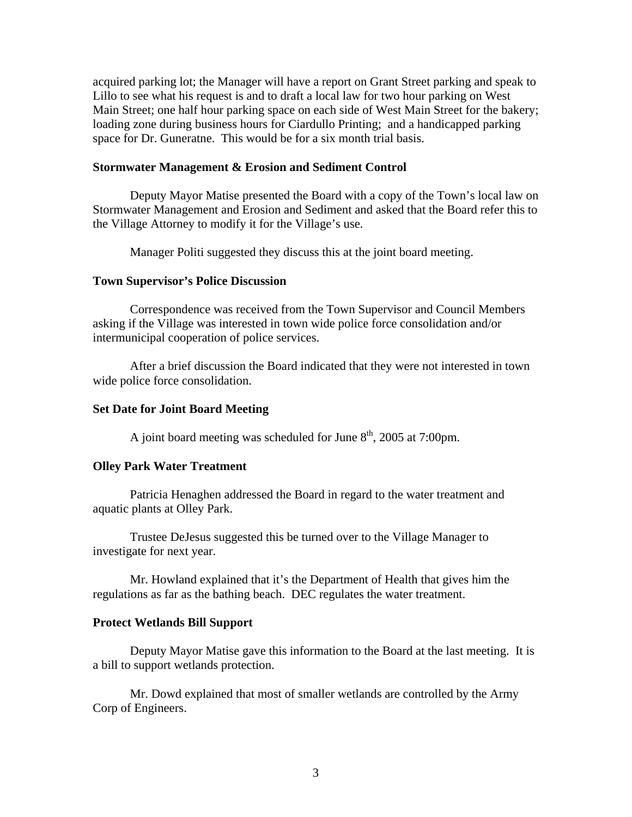acquired parking lot; the Manager will have a report on Grant Street parking and speak to Lillo to see what his request is and to draft a local law for two hour parking on West Main Street; one half hour parking space on each side of West Main Street for the bakery; loading zone during business hours for Ciardullo Printing; and a handicapped parking space for Dr. Guneratne. This would be for a six month trial basis.

#### **Stormwater Management & Erosion and Sediment Control**

Deputy Mayor Matise presented the Board with a copy of the Town's local law on Stormwater Management and Erosion and Sediment and asked that the Board refer this to the Village Attorney to modify it for the Village's use.

Manager Politi suggested they discuss this at the joint board meeting.

#### **Town Supervisor's Police Discussion**

Correspondence was received from the Town Supervisor and Council Members asking if the Village was interested in town wide police force consolidation and/or intermunicipal cooperation of police services.

After a brief discussion the Board indicated that they were not interested in town wide police force consolidation.

### **Set Date for Joint Board Meeting**

A joint board meeting was scheduled for June  $8<sup>th</sup>$ , 2005 at 7:00pm.

#### **Olley Park Water Treatment**

Patricia Henaghen addressed the Board in regard to the water treatment and aquatic plants at Olley Park.

 Trustee DeJesus suggested this be turned over to the Village Manager to investigate for next year.

 Mr. Howland explained that it's the Department of Health that gives him the regulations as far as the bathing beach. DEC regulates the water treatment.

## **Protect Wetlands Bill Support**

Deputy Mayor Matise gave this information to the Board at the last meeting. It is a bill to support wetlands protection.

 Mr. Dowd explained that most of smaller wetlands are controlled by the Army Corp of Engineers.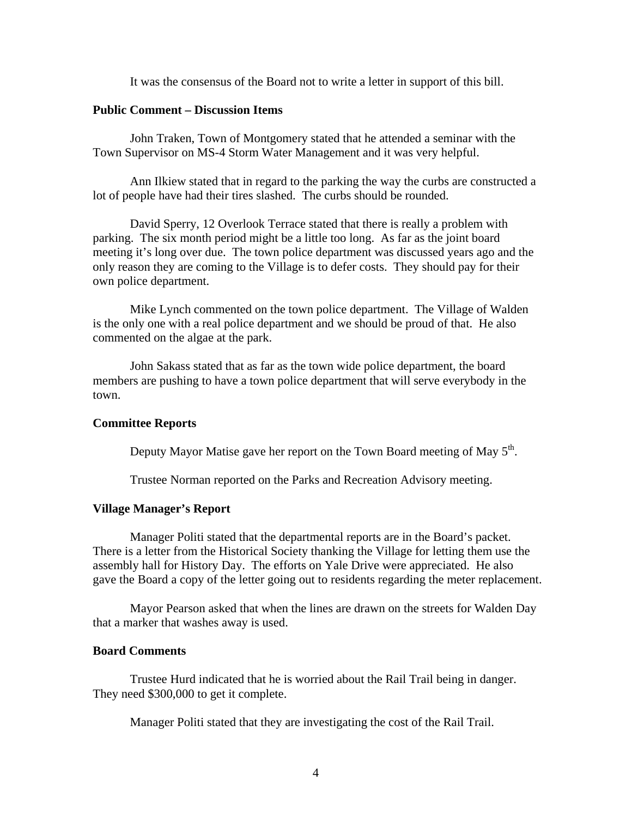It was the consensus of the Board not to write a letter in support of this bill.

# **Public Comment – Discussion Items**

 John Traken, Town of Montgomery stated that he attended a seminar with the Town Supervisor on MS-4 Storm Water Management and it was very helpful.

 Ann Ilkiew stated that in regard to the parking the way the curbs are constructed a lot of people have had their tires slashed. The curbs should be rounded.

 David Sperry, 12 Overlook Terrace stated that there is really a problem with parking. The six month period might be a little too long. As far as the joint board meeting it's long over due. The town police department was discussed years ago and the only reason they are coming to the Village is to defer costs. They should pay for their own police department.

 Mike Lynch commented on the town police department. The Village of Walden is the only one with a real police department and we should be proud of that. He also commented on the algae at the park.

 John Sakass stated that as far as the town wide police department, the board members are pushing to have a town police department that will serve everybody in the town.

#### **Committee Reports**

Deputy Mayor Matise gave her report on the Town Board meeting of May  $5<sup>th</sup>$ .

Trustee Norman reported on the Parks and Recreation Advisory meeting.

## **Village Manager's Report**

Manager Politi stated that the departmental reports are in the Board's packet. There is a letter from the Historical Society thanking the Village for letting them use the assembly hall for History Day. The efforts on Yale Drive were appreciated. He also gave the Board a copy of the letter going out to residents regarding the meter replacement.

 Mayor Pearson asked that when the lines are drawn on the streets for Walden Day that a marker that washes away is used.

#### **Board Comments**

Trustee Hurd indicated that he is worried about the Rail Trail being in danger. They need \$300,000 to get it complete.

Manager Politi stated that they are investigating the cost of the Rail Trail.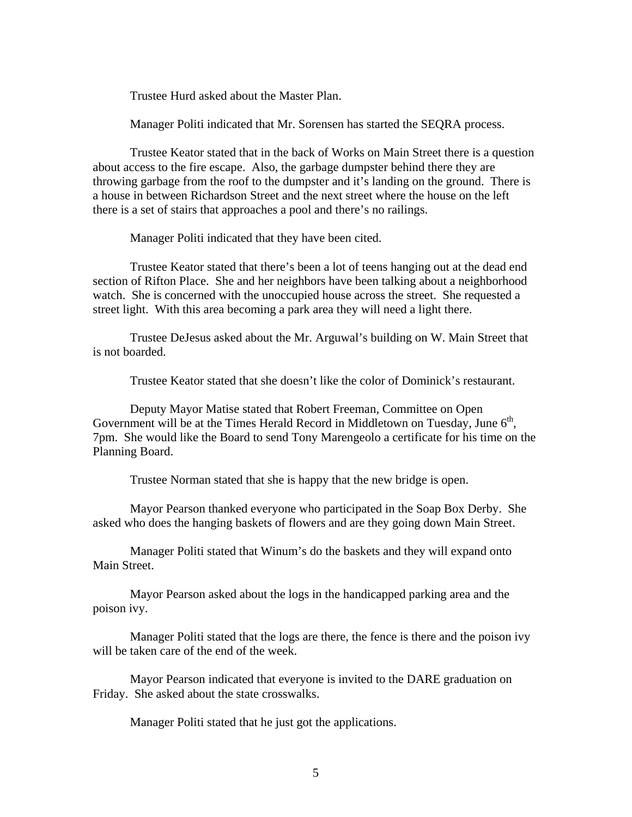Trustee Hurd asked about the Master Plan.

Manager Politi indicated that Mr. Sorensen has started the SEQRA process.

 Trustee Keator stated that in the back of Works on Main Street there is a question about access to the fire escape. Also, the garbage dumpster behind there they are throwing garbage from the roof to the dumpster and it's landing on the ground. There is a house in between Richardson Street and the next street where the house on the left there is a set of stairs that approaches a pool and there's no railings.

Manager Politi indicated that they have been cited.

 Trustee Keator stated that there's been a lot of teens hanging out at the dead end section of Rifton Place. She and her neighbors have been talking about a neighborhood watch. She is concerned with the unoccupied house across the street. She requested a street light. With this area becoming a park area they will need a light there.

 Trustee DeJesus asked about the Mr. Arguwal's building on W. Main Street that is not boarded.

Trustee Keator stated that she doesn't like the color of Dominick's restaurant.

 Deputy Mayor Matise stated that Robert Freeman, Committee on Open Government will be at the Times Herald Record in Middletown on Tuesday, June  $6<sup>th</sup>$ , 7pm. She would like the Board to send Tony Marengeolo a certificate for his time on the Planning Board.

Trustee Norman stated that she is happy that the new bridge is open.

 Mayor Pearson thanked everyone who participated in the Soap Box Derby. She asked who does the hanging baskets of flowers and are they going down Main Street.

 Manager Politi stated that Winum's do the baskets and they will expand onto Main Street.

 Mayor Pearson asked about the logs in the handicapped parking area and the poison ivy.

 Manager Politi stated that the logs are there, the fence is there and the poison ivy will be taken care of the end of the week.

 Mayor Pearson indicated that everyone is invited to the DARE graduation on Friday. She asked about the state crosswalks.

Manager Politi stated that he just got the applications.